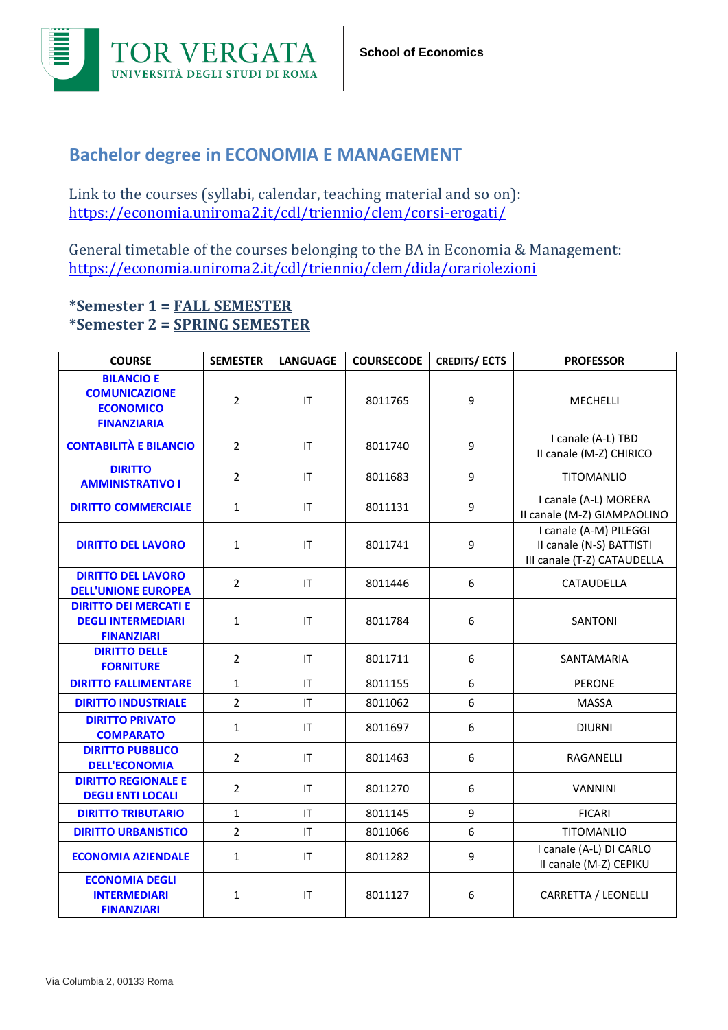

## **Bachelor degree in ECONOMIA E MANAGEMENT**

Link to the courses (syllabi, calendar, teaching material and so on): https://economia.uniroma2.it/cdl/triennio/clem/corsi-erogati/

General timetable of the courses belonging to the BA in Economia & Management: https://economia.uniroma2.it/cdl/triennio/clem/dida/orariolezioni

## **\*Semester 1 = FALL SEMESTER \*Semester 2 = SPRING SEMESTER**

| <b>COURSE</b>                                                                       | <b>SEMESTER</b> | <b>LANGUAGE</b>        | <b>COURSECODE</b> | <b>CREDITS/ECTS</b> | <b>PROFESSOR</b>                                                                  |
|-------------------------------------------------------------------------------------|-----------------|------------------------|-------------------|---------------------|-----------------------------------------------------------------------------------|
| <b>BILANCIO E</b><br><b>COMUNICAZIONE</b><br><b>ECONOMICO</b><br><b>FINANZIARIA</b> | $\overline{2}$  | $\mathsf{I}\mathsf{T}$ | 8011765           | 9                   | MECHELLI                                                                          |
| <b>CONTABILITÀ E BILANCIO</b>                                                       | $\overline{2}$  | IT                     | 8011740           | 9                   | I canale (A-L) TBD<br>Il canale (M-Z) CHIRICO                                     |
| <b>DIRITTO</b><br><b>AMMINISTRATIVO I</b>                                           | $\overline{2}$  | IT                     | 8011683           | 9                   | <b>TITOMANLIO</b>                                                                 |
| <b>DIRITTO COMMERCIALE</b>                                                          | $\mathbf{1}$    | IT                     | 8011131           | 9                   | I canale (A-L) MORERA<br>Il canale (M-Z) GIAMPAOLINO                              |
| <b>DIRITTO DEL LAVORO</b>                                                           | 1               | IT                     | 8011741           | 9                   | I canale (A-M) PILEGGI<br>II canale (N-S) BATTISTI<br>III canale (T-Z) CATAUDELLA |
| <b>DIRITTO DEL LAVORO</b><br><b>DELL'UNIONE EUROPEA</b>                             | $\overline{2}$  | IT                     | 8011446           | 6                   | CATAUDELLA                                                                        |
| <b>DIRITTO DEI MERCATI E</b><br><b>DEGLI INTERMEDIARI</b><br><b>FINANZIARI</b>      | $\mathbf{1}$    | IT                     | 8011784           | 6                   | SANTONI                                                                           |
| <b>DIRITTO DELLE</b><br><b>FORNITURE</b>                                            | $\overline{2}$  | ΙT                     | 8011711           | 6                   | SANTAMARIA                                                                        |
| <b>DIRITTO FALLIMENTARE</b>                                                         | $\mathbf{1}$    | IT                     | 8011155           | 6                   | <b>PERONE</b>                                                                     |
| <b>DIRITTO INDUSTRIALE</b>                                                          | $\overline{2}$  | IT                     | 8011062           | 6                   | <b>MASSA</b>                                                                      |
| <b>DIRITTO PRIVATO</b><br><b>COMPARATO</b>                                          | $\mathbf{1}$    | IT                     | 8011697           | 6                   | <b>DIURNI</b>                                                                     |
| <b>DIRITTO PUBBLICO</b><br><b>DELL'ECONOMIA</b>                                     | $\overline{2}$  | IT                     | 8011463           | 6                   | RAGANELLI                                                                         |
| <b>DIRITTO REGIONALE E</b><br><b>DEGLI ENTI LOCALI</b>                              | $\overline{2}$  | IT                     | 8011270           | 6                   | <b>VANNINI</b>                                                                    |
| <b>DIRITTO TRIBUTARIO</b>                                                           | $\mathbf{1}$    | IT                     | 8011145           | 9                   | <b>FICARI</b>                                                                     |
| <b>DIRITTO URBANISTICO</b>                                                          | $\overline{2}$  | IT                     | 8011066           | 6                   | <b>TITOMANLIO</b>                                                                 |
| <b>ECONOMIA AZIENDALE</b>                                                           | 1               | IT                     | 8011282           | 9                   | I canale (A-L) DI CARLO<br>II canale (M-Z) CEPIKU                                 |
| <b>ECONOMIA DEGLI</b><br><b>INTERMEDIARI</b><br><b>FINANZIARI</b>                   | $\mathbf{1}$    | IT                     | 8011127           | 6                   | CARRETTA / LEONELLI                                                               |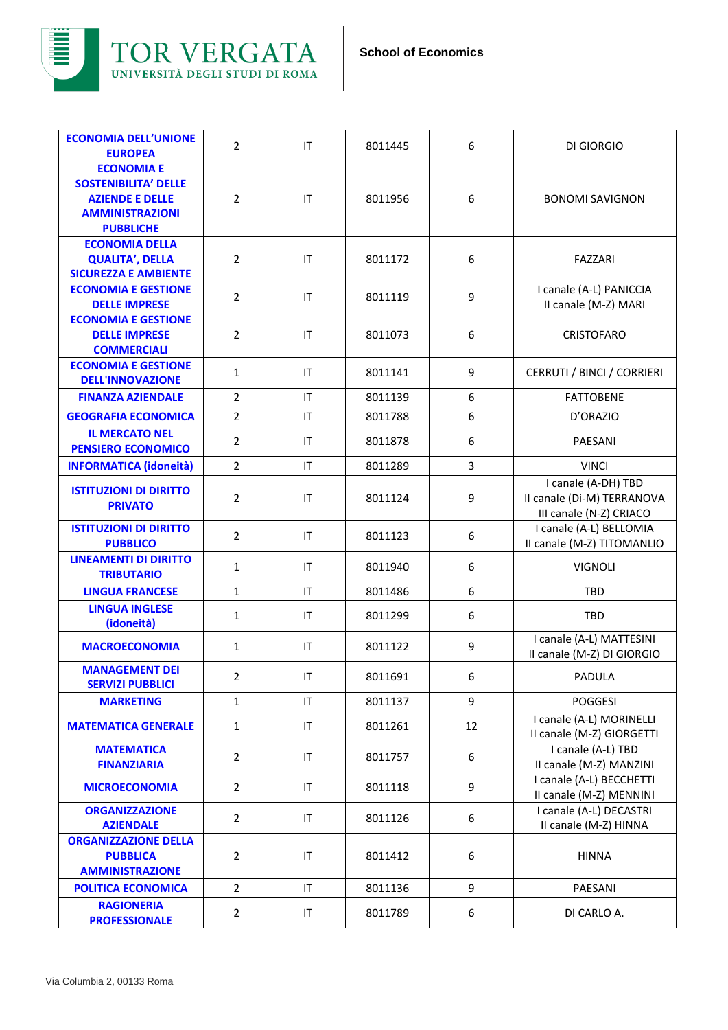



| <b>ECONOMIA DELL'UNIONE</b><br><b>EUROPEA</b>         | $\overline{2}$ | IT                         | 8011445 | 6  | DI GIORGIO                                          |
|-------------------------------------------------------|----------------|----------------------------|---------|----|-----------------------------------------------------|
| <b>ECONOMIA E</b>                                     |                |                            |         |    |                                                     |
| <b>SOSTENIBILITA' DELLE</b>                           |                |                            |         |    |                                                     |
| <b>AZIENDE E DELLE</b>                                | $\overline{2}$ | $\sf IT$                   | 8011956 | 6  | <b>BONOMI SAVIGNON</b>                              |
| <b>AMMINISTRAZIONI</b>                                |                |                            |         |    |                                                     |
| <b>PUBBLICHE</b>                                      |                |                            |         |    |                                                     |
| <b>ECONOMIA DELLA</b>                                 |                |                            |         |    |                                                     |
| <b>QUALITA', DELLA</b><br><b>SICUREZZA E AMBIENTE</b> | $\overline{2}$ | IT                         | 8011172 | 6  | <b>FAZZARI</b>                                      |
| <b>ECONOMIA E GESTIONE</b>                            |                |                            |         |    | I canale (A-L) PANICCIA                             |
| <b>DELLE IMPRESE</b>                                  | $\overline{2}$ | $\ensuremath{\mathsf{IT}}$ | 8011119 | 9  | II canale (M-Z) MARI                                |
| <b>ECONOMIA E GESTIONE</b>                            |                |                            |         |    |                                                     |
| <b>DELLE IMPRESE</b>                                  | $\overline{2}$ | IT                         | 8011073 | 6  | <b>CRISTOFARO</b>                                   |
| <b>COMMERCIALI</b>                                    |                |                            |         |    |                                                     |
| <b>ECONOMIA E GESTIONE</b><br><b>DELL'INNOVAZIONE</b> | $\mathbf{1}$   | ΙT                         | 8011141 | 9  | CERRUTI / BINCI / CORRIERI                          |
| <b>FINANZA AZIENDALE</b>                              | $\overline{2}$ | IT                         | 8011139 | 6  | <b>FATTOBENE</b>                                    |
|                                                       |                |                            |         |    |                                                     |
| <b>GEOGRAFIA ECONOMICA</b>                            | $\overline{2}$ | IT                         | 8011788 | 6  | D'ORAZIO                                            |
| <b>IL MERCATO NEL</b><br><b>PENSIERO ECONOMICO</b>    | $\overline{2}$ | IT                         | 8011878 | 6  | PAESANI                                             |
| <b>INFORMATICA (idoneità)</b>                         | $\overline{2}$ | IT                         | 8011289 | 3  | <b>VINCI</b>                                        |
|                                                       |                |                            |         |    | I canale (A-DH) TBD                                 |
| <b>ISTITUZIONI DI DIRITTO</b><br><b>PRIVATO</b>       | $\overline{2}$ | IT                         | 8011124 | 9  | II canale (Di-M) TERRANOVA                          |
|                                                       |                |                            |         |    | III canale (N-Z) CRIACO                             |
| <b>ISTITUZIONI DI DIRITTO</b>                         | $\overline{2}$ | IT                         | 8011123 | 6  | I canale (A-L) BELLOMIA                             |
| <b>PUBBLICO</b><br><b>LINEAMENTI DI DIRITTO</b>       |                |                            |         |    | II canale (M-Z) TITOMANLIO                          |
| <b>TRIBUTARIO</b>                                     | $\mathbf{1}$   | IT                         | 8011940 | 6  | <b>VIGNOLI</b>                                      |
| <b>LINGUA FRANCESE</b>                                | $\mathbf{1}$   | ΙT                         | 8011486 | 6  | <b>TBD</b>                                          |
| <b>LINGUA INGLESE</b>                                 | $\mathbf{1}$   | IT                         | 8011299 | 6  | <b>TBD</b>                                          |
| (idoneità)                                            |                |                            |         |    |                                                     |
| <b>MACROECONOMIA</b>                                  | $\mathbf{1}$   | IT                         | 8011122 | 9  | I canale (A-L) MATTESINI                            |
| <b>MANAGEMENT DEI</b>                                 |                |                            |         |    | Il canale (M-Z) DI GIORGIO                          |
| <b>SERVIZI PUBBLICI</b>                               | $\overline{2}$ | IT                         | 8011691 | 6  | <b>PADULA</b>                                       |
| <b>MARKETING</b>                                      | $\mathbf{1}$   | IT                         | 8011137 | 9  | <b>POGGESI</b>                                      |
| <b>MATEMATICA GENERALE</b>                            | $\mathbf{1}$   | IT                         | 8011261 | 12 | I canale (A-L) MORINELLI                            |
|                                                       |                |                            |         |    | II canale (M-Z) GIORGETTI                           |
| <b>MATEMATICA</b>                                     | $\overline{2}$ | IT                         | 8011757 | 6  | I canale (A-L) TBD                                  |
| <b>FINANZIARIA</b>                                    |                |                            |         |    | II canale (M-Z) MANZINI<br>I canale (A-L) BECCHETTI |
| <b>MICROECONOMIA</b>                                  | $\overline{2}$ | $\sf IT$                   | 8011118 | 9  | II canale (M-Z) MENNINI                             |
| <b>ORGANIZZAZIONE</b>                                 | $\overline{2}$ | IT                         | 8011126 | 6  | I canale (A-L) DECASTRI                             |
| <b>AZIENDALE</b>                                      |                |                            |         |    | II canale (M-Z) HINNA                               |
| <b>ORGANIZZAZIONE DELLA</b>                           |                |                            |         |    |                                                     |
| <b>PUBBLICA</b><br><b>AMMINISTRAZIONE</b>             | $\overline{2}$ | IT                         | 8011412 | 6  | <b>HINNA</b>                                        |
| <b>POLITICA ECONOMICA</b>                             | $\overline{2}$ | IT                         | 8011136 | 9  | PAESANI                                             |
| <b>RAGIONERIA</b>                                     |                |                            |         |    |                                                     |
| <b>PROFESSIONALE</b>                                  | $\overline{2}$ | IT                         | 8011789 | 6  | DI CARLO A.                                         |
|                                                       |                |                            |         |    |                                                     |